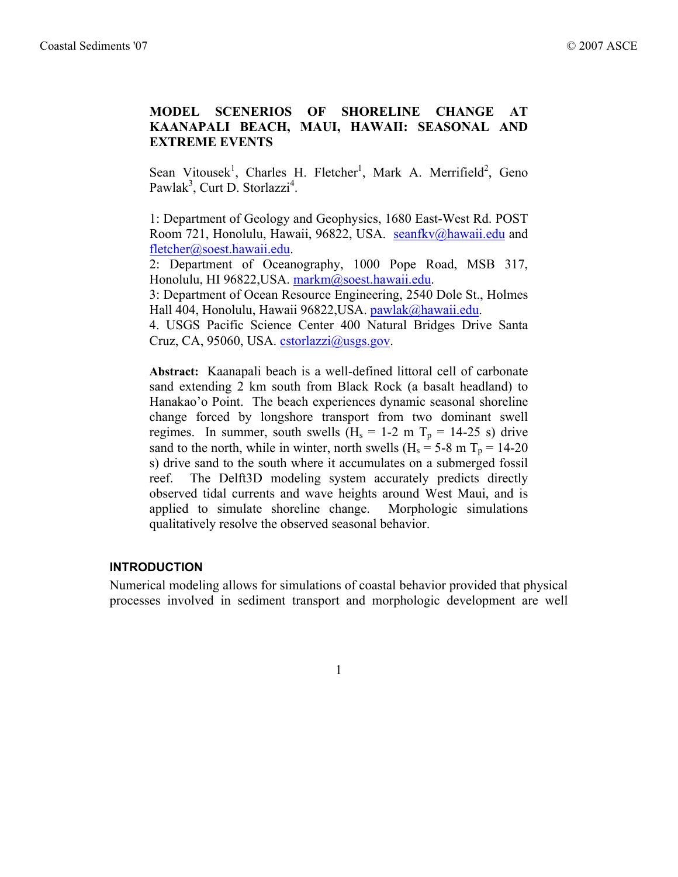### **MODEL SCENERIOS OF SHORELINE CHANGE AT KAANAPALI BEACH, MAUI, HAWAII: SEASONAL AND EXTREME EVENTS**

Sean Vitousek<sup>1</sup>, Charles H. Fletcher<sup>1</sup>, Mark A. Merrifield<sup>2</sup>, Geno Pawlak<sup>3</sup>, Curt D. Storlazzi<sup>4</sup>.

1: Department of Geology and Geophysics, 1680 East-West Rd. POST Room 721, Honolulu, Hawaii, 96822, USA. seanfkv@hawaii.edu and fletcher@soest.hawaii.edu.

2: Department of Oceanography, 1000 Pope Road, MSB 317, Honolulu, HI 96822,USA. markm@soest.hawaii.edu.

3: Department of Ocean Resource Engineering, 2540 Dole St., Holmes Hall 404, Honolulu, Hawaii 96822, USA. pawlak@hawaii.edu.

4. USGS Pacific Science Center 400 Natural Bridges Drive Santa Cruz, CA, 95060, USA. cstorlazzi@usgs.gov.

**Abstract:** Kaanapali beach is a well-defined littoral cell of carbonate sand extending 2 km south from Black Rock (a basalt headland) to Hanakao'o Point. The beach experiences dynamic seasonal shoreline change forced by longshore transport from two dominant swell regimes. In summer, south swells  $(H_s = 1-2 \text{ m } T_p = 14-25 \text{ s})$  drive sand to the north, while in winter, north swells ( $H_s = 5-8$  m  $T_p = 14-20$ s) drive sand to the south where it accumulates on a submerged fossil reef. The Delft3D modeling system accurately predicts directly observed tidal currents and wave heights around West Maui, and is applied to simulate shoreline change. Morphologic simulations qualitatively resolve the observed seasonal behavior.

### **INTRODUCTION**

Numerical modeling allows for simulations of coastal behavior provided that physical processes involved in sediment transport and morphologic development are well

1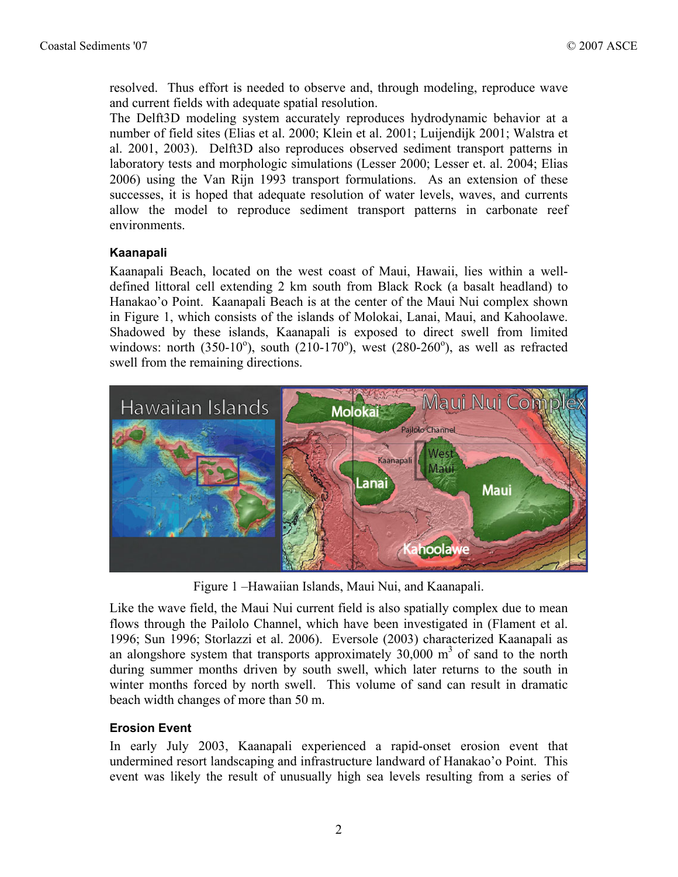resolved. Thus effort is needed to observe and, through modeling, reproduce wave and current fields with adequate spatial resolution.

The Delft3D modeling system accurately reproduces hydrodynamic behavior at a number of field sites (Elias et al. 2000; Klein et al. 2001; Luijendijk 2001; Walstra et al. 2001, 2003). Delft3D also reproduces observed sediment transport patterns in laboratory tests and morphologic simulations (Lesser 2000; Lesser et. al. 2004; Elias 2006) using the Van Rijn 1993 transport formulations. As an extension of these successes, it is hoped that adequate resolution of water levels, waves, and currents allow the model to reproduce sediment transport patterns in carbonate reef environments.

# **Kaanapali**

Kaanapali Beach, located on the west coast of Maui, Hawaii, lies within a welldefined littoral cell extending 2 km south from Black Rock (a basalt headland) to Hanakao'o Point. Kaanapali Beach is at the center of the Maui Nui complex shown in Figure 1, which consists of the islands of Molokai, Lanai, Maui, and Kahoolawe. Shadowed by these islands, Kaanapali is exposed to direct swell from limited windows: north  $(350-10^{\circ})$ , south  $(210-170^{\circ})$ , west  $(280-260^{\circ})$ , as well as refracted swell from the remaining directions.



Figure 1 –Hawaiian Islands, Maui Nui, and Kaanapali.

Like the wave field, the Maui Nui current field is also spatially complex due to mean flows through the Pailolo Channel, which have been investigated in (Flament et al. 1996; Sun 1996; Storlazzi et al. 2006). Eversole (2003) characterized Kaanapali as an alongshore system that transports approximately  $30,000 \text{ m}^3$  of sand to the north during summer months driven by south swell, which later returns to the south in winter months forced by north swell. This volume of sand can result in dramatic beach width changes of more than 50 m.

# **Erosion Event**

In early July 2003, Kaanapali experienced a rapid-onset erosion event that undermined resort landscaping and infrastructure landward of Hanakao'o Point. This event was likely the result of unusually high sea levels resulting from a series of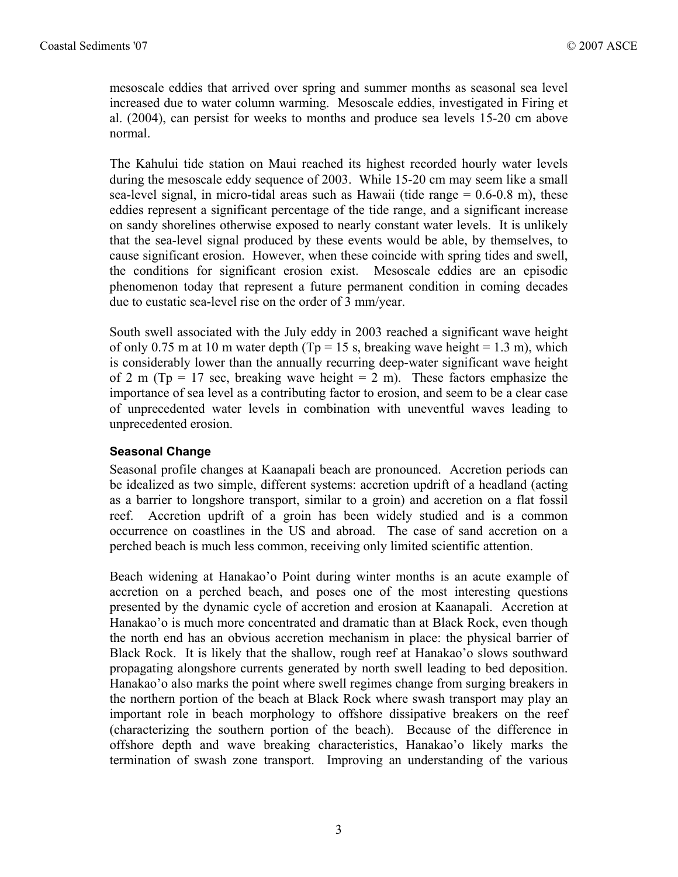mesoscale eddies that arrived over spring and summer months as seasonal sea level increased due to water column warming. Mesoscale eddies, investigated in Firing et al. (2004), can persist for weeks to months and produce sea levels 15-20 cm above normal.

The Kahului tide station on Maui reached its highest recorded hourly water levels during the mesoscale eddy sequence of 2003. While 15-20 cm may seem like a small sea-level signal, in micro-tidal areas such as Hawaii (tide range  $= 0.6 - 0.8$  m), these eddies represent a significant percentage of the tide range, and a significant increase on sandy shorelines otherwise exposed to nearly constant water levels. It is unlikely that the sea-level signal produced by these events would be able, by themselves, to cause significant erosion. However, when these coincide with spring tides and swell, the conditions for significant erosion exist. Mesoscale eddies are an episodic phenomenon today that represent a future permanent condition in coming decades due to eustatic sea-level rise on the order of 3 mm/year.

South swell associated with the July eddy in 2003 reached a significant wave height of only 0.75 m at 10 m water depth (Tp = 15 s, breaking wave height = 1.3 m), which is considerably lower than the annually recurring deep-water significant wave height of 2 m (Tp = 17 sec, breaking wave height = 2 m). These factors emphasize the importance of sea level as a contributing factor to erosion, and seem to be a clear case of unprecedented water levels in combination with uneventful waves leading to unprecedented erosion.

# **Seasonal Change**

Seasonal profile changes at Kaanapali beach are pronounced. Accretion periods can be idealized as two simple, different systems: accretion updrift of a headland (acting as a barrier to longshore transport, similar to a groin) and accretion on a flat fossil reef. Accretion updrift of a groin has been widely studied and is a common occurrence on coastlines in the US and abroad. The case of sand accretion on a perched beach is much less common, receiving only limited scientific attention.

Beach widening at Hanakao'o Point during winter months is an acute example of accretion on a perched beach, and poses one of the most interesting questions presented by the dynamic cycle of accretion and erosion at Kaanapali. Accretion at Hanakao'o is much more concentrated and dramatic than at Black Rock, even though the north end has an obvious accretion mechanism in place: the physical barrier of Black Rock. It is likely that the shallow, rough reef at Hanakao'o slows southward propagating alongshore currents generated by north swell leading to bed deposition. Hanakao'o also marks the point where swell regimes change from surging breakers in the northern portion of the beach at Black Rock where swash transport may play an important role in beach morphology to offshore dissipative breakers on the reef (characterizing the southern portion of the beach). Because of the difference in offshore depth and wave breaking characteristics, Hanakao'o likely marks the termination of swash zone transport. Improving an understanding of the various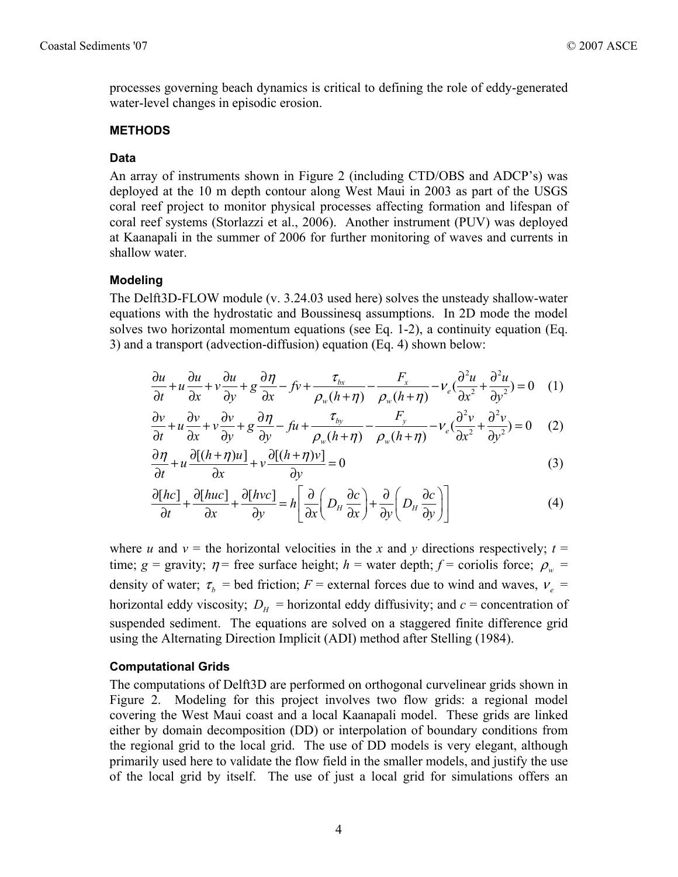processes governing beach dynamics is critical to defining the role of eddy-generated water-level changes in episodic erosion.

### **METHODS**

### **Data**

An array of instruments shown in Figure 2 (including CTD/OBS and ADCP's) was deployed at the 10 m depth contour along West Maui in 2003 as part of the USGS coral reef project to monitor physical processes affecting formation and lifespan of coral reef systems (Storlazzi et al., 2006). Another instrument (PUV) was deployed at Kaanapali in the summer of 2006 for further monitoring of waves and currents in shallow water.

### **Modeling**

The Delft3D-FLOW module (v. 3.24.03 used here) solves the unsteady shallow-water equations with the hydrostatic and Boussinesq assumptions. In 2D mode the model solves two horizontal momentum equations (see Eq. 1-2), a continuity equation (Eq. 3) and a transport (advection-diffusion) equation (Eq. 4) shown below:

$$
\frac{\partial u}{\partial t} + u \frac{\partial u}{\partial x} + v \frac{\partial u}{\partial y} + g \frac{\partial \eta}{\partial x} - f v + \frac{\tau_{bx}}{\rho_w (h + \eta)} - \frac{F_x}{\rho_w (h + \eta)} - v_e \left(\frac{\partial^2 u}{\partial x^2} + \frac{\partial^2 u}{\partial y^2}\right) = 0 \quad (1)
$$

$$
\frac{\partial v}{\partial t} + u \frac{\partial v}{\partial x} + v \frac{\partial v}{\partial y} + g \frac{\partial \eta}{\partial y} - fu + \frac{\tau_{by}}{\rho_w (h + \eta)} - \frac{F_y}{\rho_w (h + \eta)} - v_e \left(\frac{\partial^2 v}{\partial x^2} + \frac{\partial^2 v}{\partial y^2}\right) = 0 \quad (2)
$$

$$
\frac{\partial \eta}{\partial t} + u \frac{\partial [(h+\eta)u]}{\partial x} + v \frac{\partial [(h+\eta)v]}{\partial y} = 0
$$
\n(3)

$$
\frac{\partial [hc]}{\partial t} + \frac{\partial [huc]}{\partial x} + \frac{\partial [hvc]}{\partial y} = h \left[ \frac{\partial}{\partial x} \left( D_H \frac{\partial c}{\partial x} \right) + \frac{\partial}{\partial y} \left( D_H \frac{\partial c}{\partial y} \right) \right]
$$
(4)

where *u* and  $v =$  the horizontal velocities in the *x* and *y* directions respectively;  $t =$ time; *g* = gravity; *η* = free surface height; *h* = water depth; *f* = coriolis force;  $\rho_w$  = density of water;  $\tau_h$  = bed friction; *F* = external forces due to wind and waves,  $v_e$  = horizontal eddy viscosity;  $D_{\mu}$  = horizontal eddy diffusivity; and  $c$  = concentration of suspended sediment. The equations are solved on a staggered finite difference grid using the Alternating Direction Implicit (ADI) method after Stelling (1984).

# **Computational Grids**

The computations of Delft3D are performed on orthogonal curvelinear grids shown in Figure 2. Modeling for this project involves two flow grids: a regional model covering the West Maui coast and a local Kaanapali model. These grids are linked either by domain decomposition (DD) or interpolation of boundary conditions from the regional grid to the local grid. The use of DD models is very elegant, although primarily used here to validate the flow field in the smaller models, and justify the use of the local grid by itself. The use of just a local grid for simulations offers an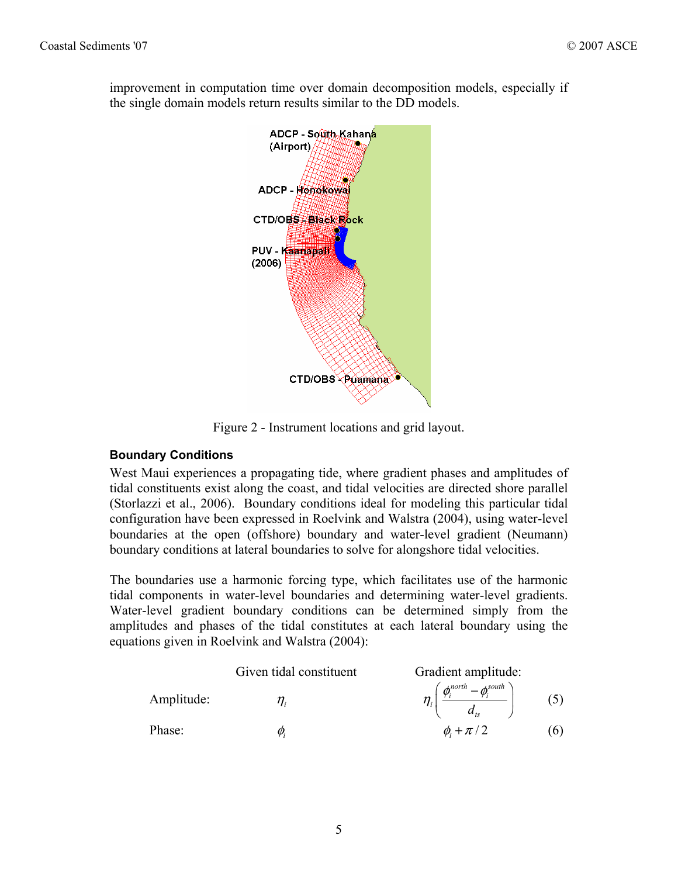ADCP - South Kahana (Airport) ADCP - HOROWOWAI CTD/OBS BIBLE Rock PUV - Kaanapalk  $(2006)$ CTD/OBS Puamana

improvement in computation time over domain decomposition models, especially if the single domain models return results similar to the DD models.

Figure 2 - Instrument locations and grid layout.

### **Boundary Conditions**

West Maui experiences a propagating tide, where gradient phases and amplitudes of tidal constituents exist along the coast, and tidal velocities are directed shore parallel (Storlazzi et al., 2006). Boundary conditions ideal for modeling this particular tidal configuration have been expressed in Roelvink and Walstra (2004), using water-level boundaries at the open (offshore) boundary and water-level gradient (Neumann) boundary conditions at lateral boundaries to solve for alongshore tidal velocities.

The boundaries use a harmonic forcing type, which facilitates use of the harmonic tidal components in water-level boundaries and determining water-level gradients. Water-level gradient boundary conditions can be determined simply from the amplitudes and phases of the tidal constitutes at each lateral boundary using the equations given in Roelvink and Walstra (2004):

|            | Given tidal constituent | Gradient amplitude:                              |  |
|------------|-------------------------|--------------------------------------------------|--|
| Amplitude: |                         | $\left( \phi_i^{north} - \phi_i^{south} \right)$ |  |
| Phase:     | v                       | $\phi_i + \pi/2$                                 |  |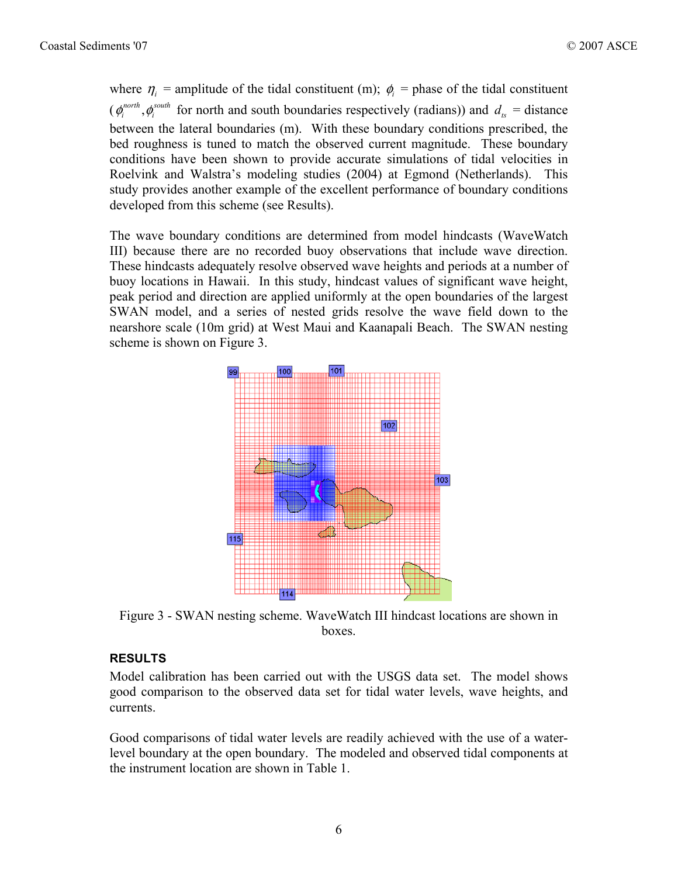where  $\eta_i$  = amplitude of the tidal constituent (m);  $\phi_i$  = phase of the tidal constituent  $(\phi_i^{north}, \phi_i^{south}$  for north and south boundaries respectively (radians)) and  $d_i$  = distance between the lateral boundaries (m). With these boundary conditions prescribed, the bed roughness is tuned to match the observed current magnitude. These boundary conditions have been shown to provide accurate simulations of tidal velocities in Roelvink and Walstra's modeling studies (2004) at Egmond (Netherlands). This study provides another example of the excellent performance of boundary conditions developed from this scheme (see Results).

The wave boundary conditions are determined from model hindcasts (WaveWatch III) because there are no recorded buoy observations that include wave direction. These hindcasts adequately resolve observed wave heights and periods at a number of buoy locations in Hawaii. In this study, hindcast values of significant wave height, peak period and direction are applied uniformly at the open boundaries of the largest SWAN model, and a series of nested grids resolve the wave field down to the nearshore scale (10m grid) at West Maui and Kaanapali Beach. The SWAN nesting scheme is shown on Figure 3.



Figure 3 - SWAN nesting scheme. WaveWatch III hindcast locations are shown in boxes.

# **RESULTS**

Model calibration has been carried out with the USGS data set. The model shows good comparison to the observed data set for tidal water levels, wave heights, and currents.

Good comparisons of tidal water levels are readily achieved with the use of a waterlevel boundary at the open boundary. The modeled and observed tidal components at the instrument location are shown in Table 1.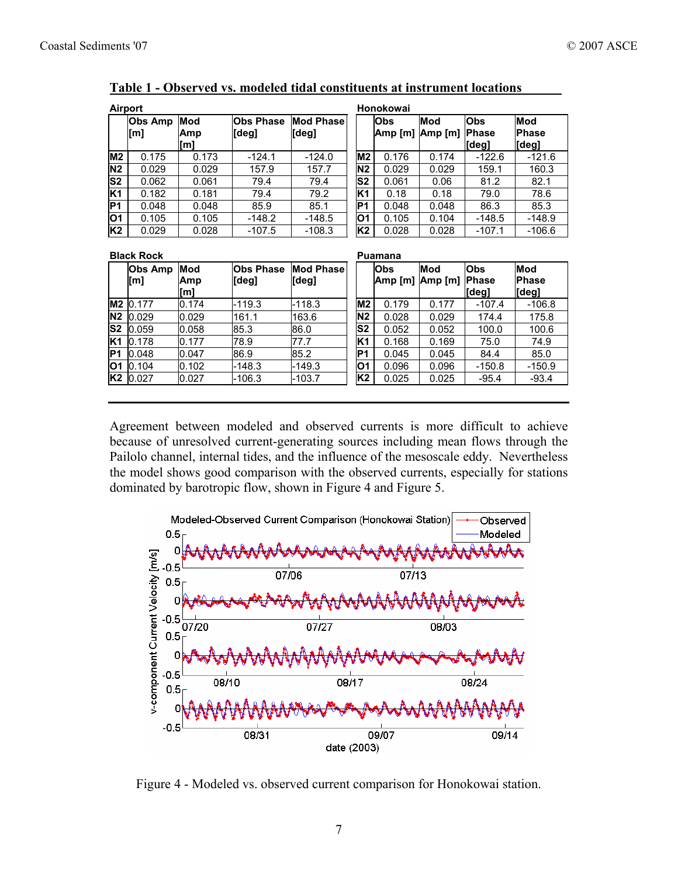| <b>Airport</b>    |                       |                   |                    |                           | Honokowai      |                       |                       |                                     |                       |
|-------------------|-----------------------|-------------------|--------------------|---------------------------|----------------|-----------------------|-----------------------|-------------------------------------|-----------------------|
|                   | <b>Obs Amp</b><br>[m] | Mod<br>Amp<br>[m] | Obs Phase<br>[deg] | <b>Mod Phase</b><br>[deg] |                | <b>Obs</b><br>Amp [m] | <b>Mod</b><br>Amp [m] | <b>Obs</b><br><b>Phase</b><br>[deg] | Mod<br>Phase<br>[deg] |
| <b>M2</b>         | 0.175                 | 0.173             | $-124.1$           | $-124.0$                  | M2             | 0.176                 | 0.174                 | $-122.6$                            | $-121.6$              |
| <b>N2</b>         | 0.029                 | 0.029             | 157.9              | 157.7                     | <b>N2</b>      | 0.029                 | 0.029                 | 159.1                               | 160.3                 |
| S <sub>2</sub>    | 0.062                 | 0.061             | 79.4               | 79.4                      | S <sub>2</sub> | 0.061                 | 0.06                  | 81.2                                | 82.1                  |
| K1                | 0.182                 | 0.181             | 79.4               | 79.2                      | K1             | 0.18                  | 0.18                  | 79.0                                | 78.6                  |
| <b>P1</b>         | 0.048                 | 0.048             | 85.9               | 85.1                      | P1             | 0.048                 | 0.048                 | 86.3                                | 85.3                  |
| О1                | 0.105                 | 0.105             | $-148.2$           | $-148.5$                  | О1             | 0.105                 | 0.104                 | $-148.5$                            | $-148.9$              |
| K <sub>2</sub>    | 0.029                 | 0.028             | $-107.5$           | $-108.3$                  | K <sub>2</sub> | 0.028                 | 0.028                 | $-107.1$                            | $-106.6$              |
| <b>Black Rock</b> |                       |                   |                    |                           |                |                       |                       |                                     |                       |
|                   |                       |                   |                    |                           |                | Puamana               |                       |                                     |                       |
|                   | <b>Obs Amp</b>        | Mod               | <b>Obs Phase</b>   | <b>Mod Phase</b>          |                | <b>Obs</b>            | Mod                   | <b>Obs</b>                          | Mod                   |
|                   | [m]                   | Amp               | [deg]              | [deg]                     |                | Amp [m]               | Amp [m]               | <b>Phase</b>                        | <b>Phase</b>          |
|                   |                       | [m]               |                    |                           |                |                       |                       | [deg]                               | [deg]                 |
| M2                | 0.177                 | 0.174             | $-119.3$           | $-118.3$                  | M2             | 0.179                 | 0.177                 | $-107.4$                            | $-106.8$              |
| N <sub>2</sub>    | 0.029                 | 0.029             | 161.1              | 163.6                     | N2             | 0.028                 | 0.029                 | 174.4                               | 175.8                 |
| S <sub>2</sub>    | 0.059                 | 0.058             | 85.3               | 86.0                      | S <sub>2</sub> | 0.052                 | 0.052                 | 100.0                               | 100.6                 |
| K1                | 0.178                 | 0.177             | 78.9               | 77.7                      | K1             | 0.168                 | 0.169                 | 75.0                                | 74.9                  |
| P <sub>1</sub>    | 0.048                 | 0.047             | 86.9               | 85.2                      | P1             | 0.045                 | 0.045                 | 84.4                                | 85.0                  |
| О1                | 0.104                 | 0.102             | $-148.3$           | $-149.3$                  | О1             | 0.096                 | 0.096                 | $-150.8$                            | $-150.9$              |

**Table 1 - Observed vs. modeled tidal constituents at instrument locations\_\_\_\_\_\_**

Agreement between modeled and observed currents is more difficult to achieve because of unresolved current-generating sources including mean flows through the Pailolo channel, internal tides, and the influence of the mesoscale eddy. Nevertheless the model shows good comparison with the observed currents, especially for stations dominated by barotropic flow, shown in Figure 4 and Figure 5.



Figure 4 - Modeled vs. observed current comparison for Honokowai station.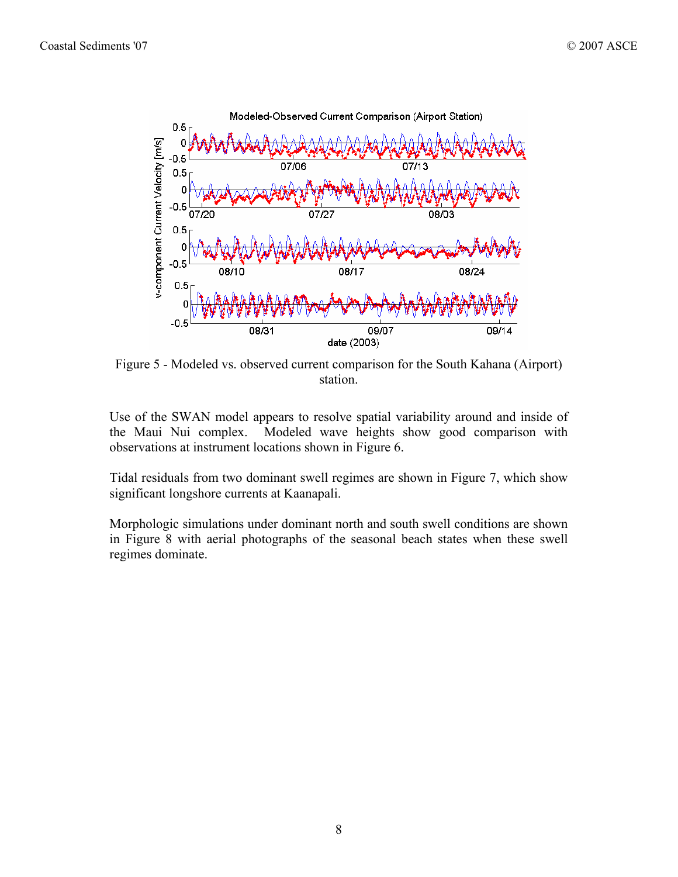

Figure 5 - Modeled vs. observed current comparison for the South Kahana (Airport) station.

Use of the SWAN model appears to resolve spatial variability around and inside of the Maui Nui complex. Modeled wave heights show good comparison with observations at instrument locations shown in Figure 6.

Tidal residuals from two dominant swell regimes are shown in Figure 7, which show significant longshore currents at Kaanapali.

Morphologic simulations under dominant north and south swell conditions are shown in Figure 8 with aerial photographs of the seasonal beach states when these swell regimes dominate.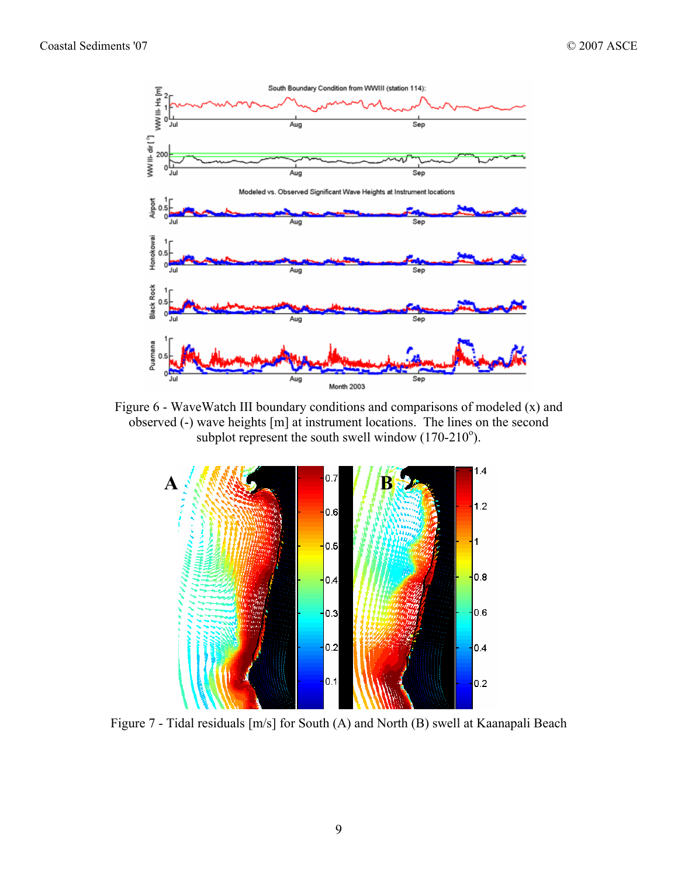

Figure 6 - WaveWatch III boundary conditions and comparisons of modeled (x) and observed (-) wave heights [m] at instrument locations. The lines on the second subplot represent the south swell window  $(170-210^{\circ})$ .



Figure 7 - Tidal residuals [m/s] for South (A) and North (B) swell at Kaanapali Beach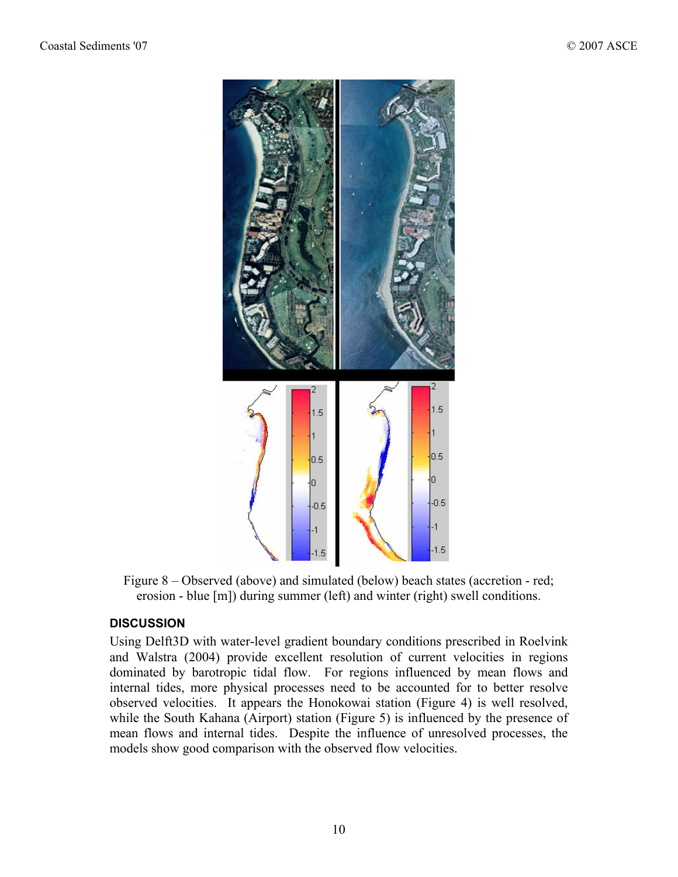

Figure 8 – Observed (above) and simulated (below) beach states (accretion - red; erosion - blue [m]) during summer (left) and winter (right) swell conditions.

### **DISCUSSION**

Using Delft3D with water-level gradient boundary conditions prescribed in Roelvink and Walstra (2004) provide excellent resolution of current velocities in regions dominated by barotropic tidal flow. For regions influenced by mean flows and internal tides, more physical processes need to be accounted for to better resolve observed velocities. It appears the Honokowai station (Figure 4) is well resolved, while the South Kahana (Airport) station (Figure 5) is influenced by the presence of mean flows and internal tides. Despite the influence of unresolved processes, the models show good comparison with the observed flow velocities.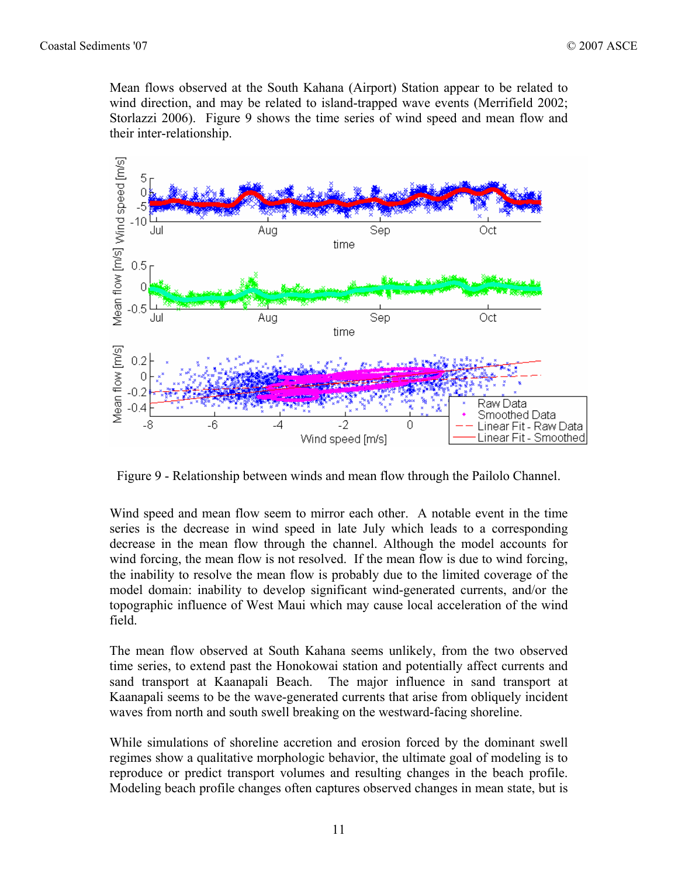Mean flows observed at the South Kahana (Airport) Station appear to be related to wind direction, and may be related to island-trapped wave events (Merrifield 2002; Storlazzi 2006). Figure 9 shows the time series of wind speed and mean flow and their inter-relationship.



Figure 9 - Relationship between winds and mean flow through the Pailolo Channel.

Wind speed and mean flow seem to mirror each other. A notable event in the time series is the decrease in wind speed in late July which leads to a corresponding decrease in the mean flow through the channel. Although the model accounts for wind forcing, the mean flow is not resolved. If the mean flow is due to wind forcing, the inability to resolve the mean flow is probably due to the limited coverage of the model domain: inability to develop significant wind-generated currents, and/or the topographic influence of West Maui which may cause local acceleration of the wind field.

The mean flow observed at South Kahana seems unlikely, from the two observed time series, to extend past the Honokowai station and potentially affect currents and sand transport at Kaanapali Beach. The major influence in sand transport at Kaanapali seems to be the wave-generated currents that arise from obliquely incident waves from north and south swell breaking on the westward-facing shoreline.

While simulations of shoreline accretion and erosion forced by the dominant swell regimes show a qualitative morphologic behavior, the ultimate goal of modeling is to reproduce or predict transport volumes and resulting changes in the beach profile. Modeling beach profile changes often captures observed changes in mean state, but is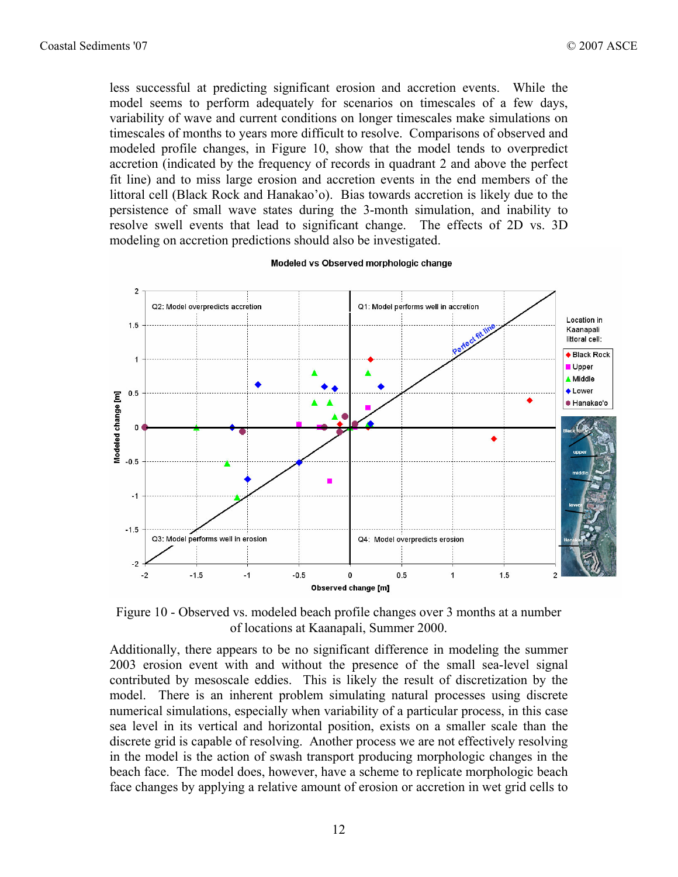less successful at predicting significant erosion and accretion events. While the model seems to perform adequately for scenarios on timescales of a few days, variability of wave and current conditions on longer timescales make simulations on timescales of months to years more difficult to resolve. Comparisons of observed and modeled profile changes, in Figure 10, show that the model tends to overpredict accretion (indicated by the frequency of records in quadrant 2 and above the perfect fit line) and to miss large erosion and accretion events in the end members of the littoral cell (Black Rock and Hanakao'o). Bias towards accretion is likely due to the persistence of small wave states during the 3-month simulation, and inability to resolve swell events that lead to significant change. The effects of 2D vs. 3D modeling on accretion predictions should also be investigated.



Modeled vs Observed morphologic change

Figure 10 - Observed vs. modeled beach profile changes over 3 months at a number of locations at Kaanapali, Summer 2000.

Additionally, there appears to be no significant difference in modeling the summer 2003 erosion event with and without the presence of the small sea-level signal contributed by mesoscale eddies. This is likely the result of discretization by the model. There is an inherent problem simulating natural processes using discrete numerical simulations, especially when variability of a particular process, in this case sea level in its vertical and horizontal position, exists on a smaller scale than the discrete grid is capable of resolving. Another process we are not effectively resolving in the model is the action of swash transport producing morphologic changes in the beach face. The model does, however, have a scheme to replicate morphologic beach face changes by applying a relative amount of erosion or accretion in wet grid cells to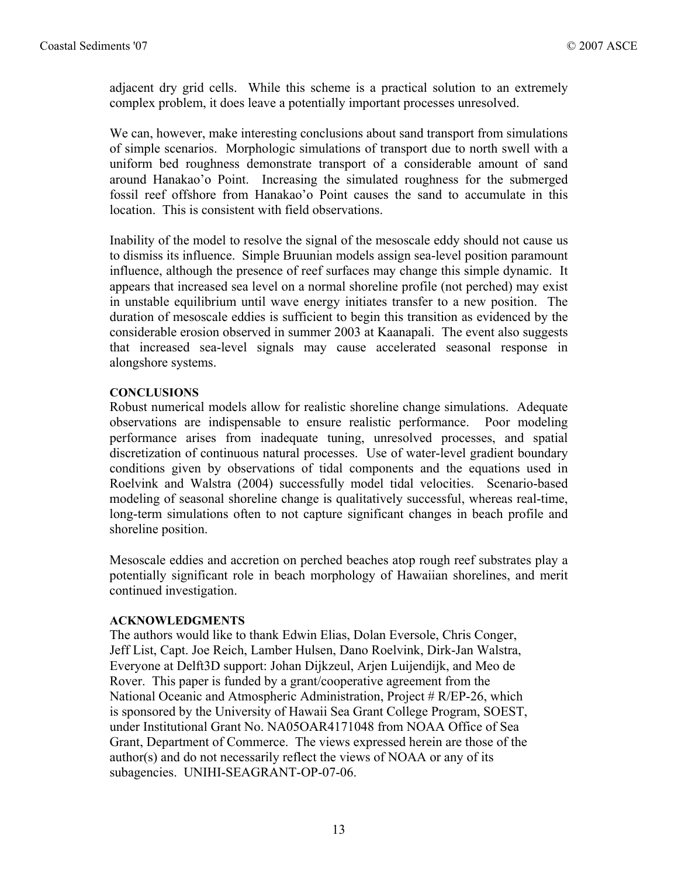adjacent dry grid cells. While this scheme is a practical solution to an extremely complex problem, it does leave a potentially important processes unresolved.

We can, however, make interesting conclusions about sand transport from simulations of simple scenarios. Morphologic simulations of transport due to north swell with a uniform bed roughness demonstrate transport of a considerable amount of sand around Hanakao'o Point. Increasing the simulated roughness for the submerged fossil reef offshore from Hanakao'o Point causes the sand to accumulate in this location. This is consistent with field observations.

Inability of the model to resolve the signal of the mesoscale eddy should not cause us to dismiss its influence. Simple Bruunian models assign sea-level position paramount influence, although the presence of reef surfaces may change this simple dynamic. It appears that increased sea level on a normal shoreline profile (not perched) may exist in unstable equilibrium until wave energy initiates transfer to a new position. The duration of mesoscale eddies is sufficient to begin this transition as evidenced by the considerable erosion observed in summer 2003 at Kaanapali. The event also suggests that increased sea-level signals may cause accelerated seasonal response in alongshore systems.

### **CONCLUSIONS**

Robust numerical models allow for realistic shoreline change simulations. Adequate observations are indispensable to ensure realistic performance. Poor modeling performance arises from inadequate tuning, unresolved processes, and spatial discretization of continuous natural processes. Use of water-level gradient boundary conditions given by observations of tidal components and the equations used in Roelvink and Walstra (2004) successfully model tidal velocities. Scenario-based modeling of seasonal shoreline change is qualitatively successful, whereas real-time, long-term simulations often to not capture significant changes in beach profile and shoreline position.

Mesoscale eddies and accretion on perched beaches atop rough reef substrates play a potentially significant role in beach morphology of Hawaiian shorelines, and merit continued investigation.

### **ACKNOWLEDGMENTS**

The authors would like to thank Edwin Elias, Dolan Eversole, Chris Conger, Jeff List, Capt. Joe Reich, Lamber Hulsen, Dano Roelvink, Dirk-Jan Walstra, Everyone at Delft3D support: Johan Dijkzeul, Arjen Luijendijk, and Meo de Rover. This paper is funded by a grant/cooperative agreement from the National Oceanic and Atmospheric Administration, Project # R/EP-26, which is sponsored by the University of Hawaii Sea Grant College Program, SOEST, under Institutional Grant No. NA05OAR4171048 from NOAA Office of Sea Grant, Department of Commerce. The views expressed herein are those of the author(s) and do not necessarily reflect the views of NOAA or any of its subagencies. UNIHI-SEAGRANT-OP-07-06.